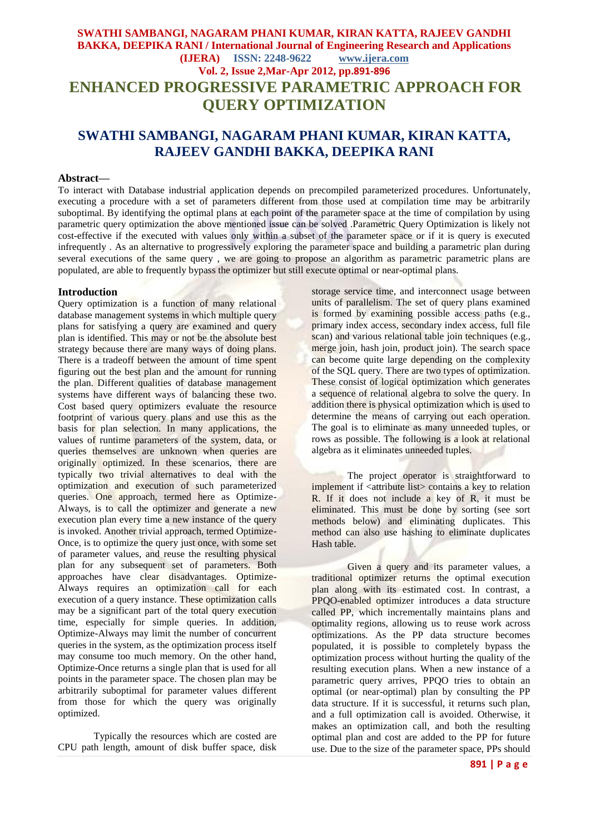# **SWATHI SAMBANGI, NAGARAM PHANI KUMAR, KIRAN KATTA, RAJEEV GANDHI BAKKA, DEEPIKA RANI / International Journal of Engineering Research and Applications (IJERA) ISSN: 2248-9622 www.ijera.com Vol. 2, Issue 2,Mar-Apr 2012, pp.891-896 ENHANCED PROGRESSIVE PARAMETRIC APPROACH FOR QUERY OPTIMIZATION**

# **SWATHI SAMBANGI, NAGARAM PHANI KUMAR, KIRAN KATTA, RAJEEV GANDHI BAKKA, DEEPIKA RANI**

#### **Abstract—**

To interact with Database industrial application depends on precompiled parameterized procedures. Unfortunately, executing a procedure with a set of parameters different from those used at compilation time may be arbitrarily suboptimal. By identifying the optimal plans at each point of the parameter space at the time of compilation by using parametric query optimization the above mentioned issue can be solved .Parametric Query Optimization is likely not cost-effective if the executed with values only within a subset of the parameter space or if it is query is executed infrequently. As an alternative to progressively exploring the parameter space and building a parametric plan during several executions of the same query , we are going to propose an algorithm as parametric parametric plans are populated, are able to frequently bypass the optimizer but still execute optimal or near-optimal plans.

#### **Introduction**

Query optimization is a function of many relational database management systems in which multiple query plans for satisfying a query are examined and query plan is identified. This may or not be the absolute best strategy because there are many ways of doing plans. There is a tradeoff between the amount of time spent figuring out the best plan and the amount for running the plan. Different qualities of database management systems have different ways of balancing these two. Cost based query optimizers evaluate the resource footprint of various query plans and use this as the basis for plan selection. In many applications, the values of runtime parameters of the system, data, or queries themselves are unknown when queries are originally optimized. In these scenarios, there are typically two trivial alternatives to deal with the optimization and execution of such parameterized queries. One approach, termed here as Optimize-Always, is to call the optimizer and generate a new execution plan every time a new instance of the query is invoked. Another trivial approach, termed Optimize-Once, is to optimize the query just once, with some set of parameter values, and reuse the resulting physical plan for any subsequent set of parameters. Both approaches have clear disadvantages. Optimize-Always requires an optimization call for each execution of a query instance. These optimization calls may be a significant part of the total query execution time, especially for simple queries. In addition, Optimize-Always may limit the number of concurrent queries in the system, as the optimization process itself may consume too much memory. On the other hand, Optimize-Once returns a single plan that is used for all points in the parameter space. The chosen plan may be arbitrarily suboptimal for parameter values different from those for which the query was originally optimized.

Typically the resources which are costed are CPU path length, amount of disk buffer space, disk

storage service time, and interconnect usage between units of parallelism. The set of query plans examined is formed by examining possible access paths (e.g., primary index access, secondary index access, full file scan) and various relational table join techniques (e.g., merge join, hash join, product join). The search space can become quite large depending on the complexity of the SQL query. There are two types of optimization. These consist of logical optimization which generates a sequence of relational algebra to solve the query. In addition there is physical optimization which is used to determine the means of carrying out each operation. The goal is to eliminate as many unneeded tuples, or rows as possible. The following is a look at relational algebra as it eliminates unneeded tuples.

The project operator is straightforward to implement if <attribute list> contains a key to relation R. If it does not include a key of R, it must be eliminated. This must be done by sorting (see sort methods below) and eliminating duplicates. This method can also use hashing to eliminate duplicates Hash table.

Given a query and its parameter values, a traditional optimizer returns the optimal execution plan along with its estimated cost. In contrast, a PPQO-enabled optimizer introduces a data structure called PP, which incrementally maintains plans and optimality regions, allowing us to reuse work across optimizations. As the PP data structure becomes populated, it is possible to completely bypass the optimization process without hurting the quality of the resulting execution plans. When a new instance of a parametric query arrives, PPQO tries to obtain an optimal (or near-optimal) plan by consulting the PP data structure. If it is successful, it returns such plan, and a full optimization call is avoided. Otherwise, it makes an optimization call, and both the resulting optimal plan and cost are added to the PP for future use. Due to the size of the parameter space, PPs should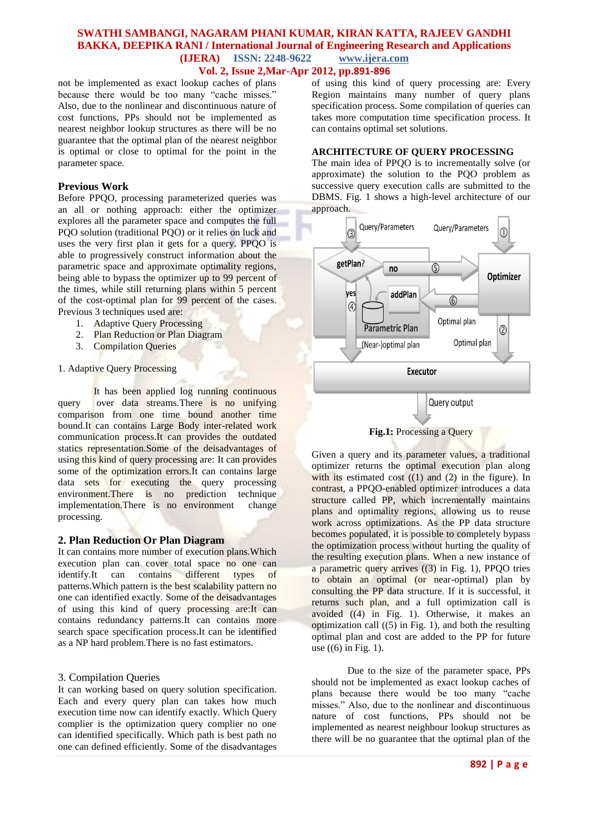## **SWATHI SAMBANGI, NAGARAM PHANI KUMAR, KIRAN KATTA, RAJEEV GANDHI BAKKA, DEEPIKA RANI / International Journal of Engineering Research and Applications (IJERA) ISSN: 2248-9622 www.ijera.com Vol. 2, Issue 2,Mar-Apr 2012, pp.891-896**

not be implemented as exact lookup caches of plans because there would be too many "cache misses." Also, due to the nonlinear and discontinuous nature of cost functions, PPs should not be implemented as nearest neighbor lookup structures as there will be no guarantee that the optimal plan of the nearest neighbor is optimal or close to optimal for the point in the parameter space.

# **Previous Work**

Before PPQO, processing parameterized queries was an all or nothing approach: either the optimizer explores all the parameter space and computes the full PQO solution (traditional PQO) or it relies on luck and uses the very first plan it gets for a query. PPQO is able to progressively construct information about the parametric space and approximate optimality regions, being able to bypass the optimizer up to 99 percent of the times, while still returning plans within 5 percent of the cost-optimal plan for 99 percent of the cases. Previous 3 techniques used are:

- 1. Adaptive Query Processing
- 2. Plan Reduction or Plan Diagram
- 3. Compilation Queries

#### 1. Adaptive Query Processing

It has been applied log running continuous query over data streams.There is no unifying comparison from one time bound another time bound.It can contains Large Body inter-related work communication process.It can provides the outdated statics representation.Some of the deisadvantages of using this kind of query processing are: It can provides some of the optimization errors.It can contains large data sets for executing the query processing environment.There is no prediction technique implementation.There is no environment change processing.

#### **2. Plan Reduction Or Plan Diagram**

It can contains more number of execution plans.Which execution plan can cover total space no one can identify.It can contains different types of patterns.Which pattern is the best scalability pattern no one can identified exactly. Some of the deisadvantages of using this kind of query processing are:It can contains redundancy patterns.It can contains more search space specification process.It can be identified as a NP hard problem.There is no fast estimators.

### 3. Compilation Queries

It can working based on query solution specification. Each and every query plan can takes how much execution time now can identify exactly. Which Query complier is the optimization query complier no one can identified specifically. Which path is best path no one can defined efficiently. Some of the disadvantages of using this kind of query processing are: Every Region maintains many number of query plans specification process. Some compilation of queries can takes more computation time specification process. It can contains optimal set solutions.

### **ARCHITECTURE OF QUERY PROCESSING**

The main idea of PPQO is to incrementally solve (or approximate) the solution to the PQO problem as successive query execution calls are submitted to the DBMS. Fig. 1 shows a high-level architecture of our approach.





Given a query and its parameter values, a traditional optimizer returns the optimal execution plan along with its estimated cost  $((1)$  and  $(2)$  in the figure). In contrast, a PPQO-enabled optimizer introduces a data structure called PP, which incrementally maintains plans and optimality regions, allowing us to reuse work across optimizations. As the PP data structure becomes populated, it is possible to completely bypass the optimization process without hurting the quality of the resulting execution plans. When a new instance of a parametric query arrives ((3) in Fig. 1), PPQO tries to obtain an optimal (or near-optimal) plan by consulting the PP data structure. If it is successful, it returns such plan, and a full optimization call is avoided ((4) in Fig. 1). Otherwise, it makes an optimization call  $(5)$  in Fig. 1), and both the resulting optimal plan and cost are added to the PP for future use  $((6)$  in Fig. 1).

Due to the size of the parameter space, PPs should not be implemented as exact lookup caches of plans because there would be too many "cache misses." Also, due to the nonlinear and discontinuous nature of cost functions, PPs should not be implemented as nearest neighbour lookup structures as there will be no guarantee that the optimal plan of the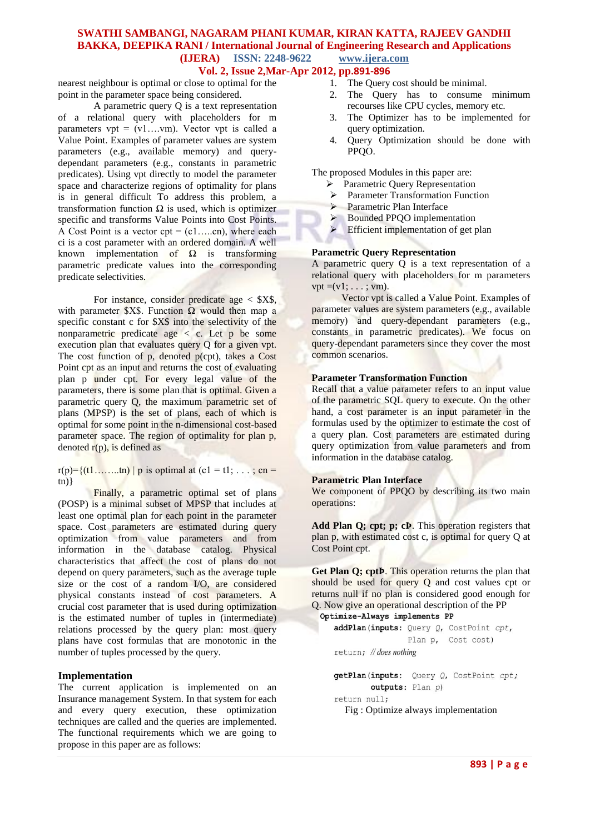## **SWATHI SAMBANGI, NAGARAM PHANI KUMAR, KIRAN KATTA, RAJEEV GANDHI BAKKA, DEEPIKA RANI / International Journal of Engineering Research and Applications (IJERA) ISSN: 2248-9622 www.ijera.com Vol. 2, Issue 2,Mar-Apr 2012, pp.891-896**

nearest neighbour is optimal or close to optimal for the point in the parameter space being considered.

A parametric query Q is a text representation of a relational query with placeholders for m parameters  $vpt = (v1...vm)$ . Vector vpt is called a Value Point. Examples of parameter values are system parameters (e.g., available memory) and querydependant parameters (e.g., constants in parametric predicates). Using vpt directly to model the parameter space and characterize regions of optimality for plans is in general difficult To address this problem, a transformation function Ω is used, which is optimizer specific and transforms Value Points into Cost Points. A Cost Point is a vector  $cpt = (c1....cn)$ , where each ci is a cost parameter with an ordered domain. A well known implementation of  $\Omega$  is transforming parametric predicate values into the corresponding predicate selectivities.

For instance, consider predicate age  $\langle$  \$X\$, with parameter \$X\$. Function  $\Omega$  would then map a specific constant c for \$X\$ into the selectivity of the nonparametric predicate age  $\langle c \rangle$ . Let p be some execution plan that evaluates query Q for a given vpt. The cost function of  $p$ , denoted  $p(cpt)$ , takes a Cost Point cpt as an input and returns the cost of evaluating plan p under cpt. For every legal value of the parameters, there is some plan that is optimal. Given a parametric query Q, the maximum parametric set of plans (MPSP) is the set of plans, each of which is optimal for some point in the n-dimensional cost-based parameter space. The region of optimality for plan p, denoted  $r(p)$ , is defined as

 $r(p)=\{(t1......t n) | p \text{ is optimal at } (c1 = t1; ...; cn =$  $(n)$ }

Finally, a parametric optimal set of plans (POSP) is a minimal subset of MPSP that includes at least one optimal plan for each point in the parameter space. Cost parameters are estimated during query optimization from value parameters and from information in the database catalog. Physical characteristics that affect the cost of plans do not depend on query parameters, such as the average tuple size or the cost of a random I/O, are considered physical constants instead of cost parameters. A crucial cost parameter that is used during optimization is the estimated number of tuples in (intermediate) relations processed by the query plan: most query plans have cost formulas that are monotonic in the number of tuples processed by the query.

# **Implementation**

The current application is implemented on an Insurance management System. In that system for each and every query execution, these optimization techniques are called and the queries are implemented. The functional requirements which we are going to propose in this paper are as follows:

- 
- 1. The Query cost should be minimal.<br>2. The Query has to consume The Query has to consume minimum recourses like CPU cycles, memory etc.
- 3. The Optimizer has to be implemented for query optimization.
- 4. Query Optimization should be done with PPQO.

The proposed Modules in this paper are:

- > Parametric Query Representation
- Parameter Transformation Function
- **Parametric Plan Interface**
- Bounded PPQO implementation
- $\triangleright$  Efficient implementation of get plan

#### **Parametric Query Representation**

A parametric query Q is a text representation of a relational query with placeholders for m parameters  $vpt = (v1; \ldots; vm)$ .

 Vector vpt is called a Value Point. Examples of parameter values are system parameters (e.g., available memory) and query-dependant parameters (e.g., constants in parametric predicates). We focus on query-dependant parameters since they cover the most common scenarios.

#### **Parameter Transformation Function**

Recall that a value parameter refers to an input value of the parametric SQL query to execute. On the other hand, a cost parameter is an input parameter in the formulas used by the optimizer to estimate the cost of a query plan. Cost parameters are estimated during query optimization from value parameters and from information in the database catalog.

#### **Parametric Plan Interface**

We component of PPQO by describing its two main operations:

Add Plan Q; cpt; p; cP. This operation registers that plan p, with estimated cost c, is optimal for query Q at Cost Point cpt.

**Get Plan Q; cptÞ**. This operation returns the plan that should be used for query Q and cost values cpt or returns null if no plan is considered good enough for Q. Now give an operational description of the PP

```
Optimize-Always implements PP
addPlan(inputs: Query Q, CostPoint cpt,
```

```
Plan p, Cost cost)
```
return; // does nothing

getPlan(inputs: Query Q, CostPoint cpt; outputs: Plan p) return null; Fig : Optimize always implementation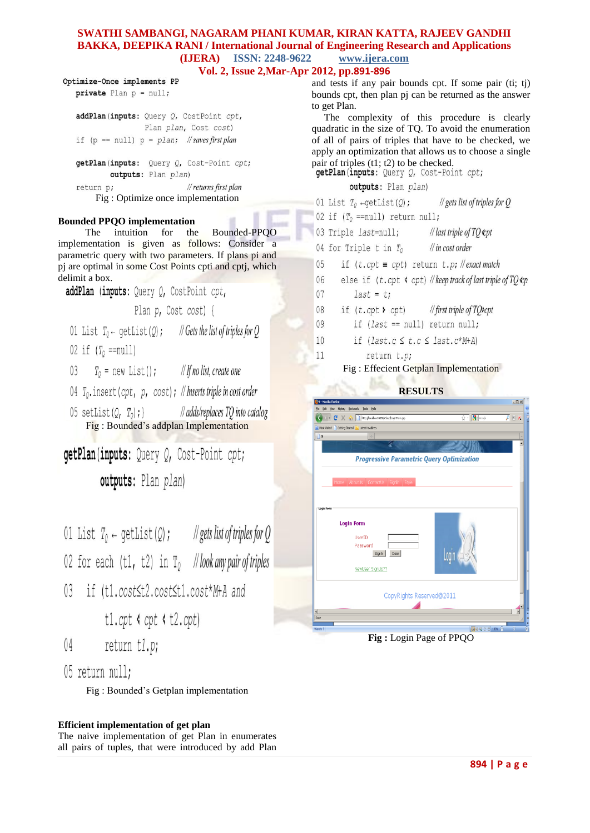# **SWATHI SAMBANGI, NAGARAM PHANI KUMAR, KIRAN KATTA, RAJEEV GANDHI BAKKA, DEEPIKA RANI / International Journal of Engineering Research and Applications (IJERA) ISSN: 2248-9622 www.ijera.com**

**Vol. 2, Issue 2,Mar-Apr 2012, pp.891-896**

Optimize-Once implements PP private Plan  $p = null$ ;

> addPlan(inputs: Query Q, CostPoint cpt, Plan plan, Cost cost) if (p ==  $null$ ) p =  $plan$ ; //saves first plan

getPlan(inputs: Query Q, Cost-Point cpt; outputs: Plan plan) return p: // returns first plan Fig : Optimize once implementation

# **Bounded PPQO implementation**

 The intuition for the Bounded-PPQO implementation is given as follows: Consider a parametric query with two parameters. If plans pi and pj are optimal in some Cost Points cpti and cptj, which delimit a box.

addPlan (inputs: Ouery O, CostPoint cpt, Plan p, Cost cost) { 01 List  $T_0 \leftarrow$  qetList(0); // Gets the list of triples for O 02 if  $(T_0 == null)$ 

// If no list, create one  $T_0$  = new List();  $03$ 

04  $T_0$ . insert (cpt, p, cost); // Inserts triple in cost order

05 setList( $0, T_0$ ); } // adds/replaces TO into catalog Fig : Bounded's addplan Implementation

getPlan(inputs: Query Q, Cost-Point cpt; outputs: Plan plan)

01 List  $T_0 \leftarrow$  qetList(Q); //gets list of triples for Q

02 for each (t1, t2) in  $T_0$  //look any pair of triples

 $\mathbb{R}$ if (t1.cost st2.cost st1.cost \* M+A and

 $t1.cpt$   $s$  cpt  $s$   $t2.cpt$ )

 $04$ return t1.p;

05 return null:

Fig : Bounded's Getplan implementation

# **Efficient implementation of get plan**

The naive implementation of get Plan in enumerates all pairs of tuples, that were introduced by add Plan and tests if any pair bounds cpt. If some pair (ti; tj) bounds cpt, then plan pj can be returned as the answer to get Plan.

 The complexity of this procedure is clearly quadratic in the size of TQ. To avoid the enumeration of all of pairs of triples that have to be checked, we apply an optimization that allows us to choose a single pair of triples (t1; t2) to be checked.<br> **getPlan** (inputs: Query  $Q$ , Cost-Point cpt;

# outputs: Plan plan)

- 01 List  $T_0 \leftarrow \text{qetList}(0)$ ;  $\frac{1}{2}$  gets list of triples for O
- 02 if  $(T<sub>0</sub> == null)$  return null;
- 03 Triple *last=null*; // last triple of TO &pt
- 04 for Triple  $t$  in  $T_0$  $\frac{1}{\ln \cosh \theta}$
- 05 if  $(t.\text{cpt} \equiv \text{cpt})$  return  $t.p$ ; // exact match
- else if  $(t.\text{cpt} \text{ (} \text{cpt} \text{ ))}$  // keep track of last triple of TQ  $\pmb{\text{tp}}$ 06
- 07  $last = t$ ;
- 08 if  $(t.\text{cpt} \gt \text{cpt})$ // first triple of TO»cpt
- 09 if  $$last == null$  return null;$
- 10 if  $(last.c \leq t.c \leq last.c * M+A)$
- return t.p; 11
	- Fig : Effecient Getplan Implementation

# **RESULTS**



**Fig :** Login Page of PPQO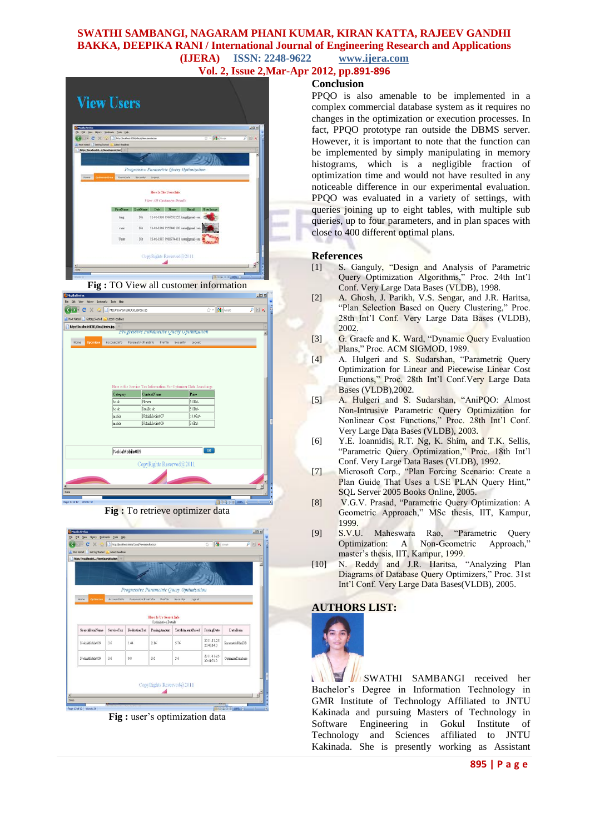# **SWATHI SAMBANGI, NAGARAM PHANI KUMAR, KIRAN KATTA, RAJEEV GANDHI BAKKA, DEEPIKA RANI / International Journal of Engineering Research and Applications (IJERA) ISSN: 2248-9622 www.ijera.com**

**Vol. 2, Issue 2,Mar-Apr 2012, pp.891-896**

| <b>Mouth Firefox</b><br>ER Yen Hyber Bioleraha Josh this                 |                        |                                              |         |                            |                                           |           | AIBIX |
|--------------------------------------------------------------------------|------------------------|----------------------------------------------|---------|----------------------------|-------------------------------------------|-----------|-------|
| c<br>$X(\alpha)$                                                         |                        | T Thes: (focal not 6000/Doughlevelopmakings) |         |                            |                                           | ☆ · 图 imp | 天田大   |
| d. Must Visted   Centry Stated<br>http://localboot.itd/Viewitterratction | <b>Latest Headbles</b> |                                              |         |                            |                                           |           |       |
|                                                                          |                        |                                              |         |                            |                                           |           | ٠     |
|                                                                          |                        |                                              |         |                            |                                           |           |       |
|                                                                          |                        |                                              |         |                            | Progressive Parametric Query Optimization |           |       |
| <b>Outmournata</b><br>Home                                               | <b>Mentalists</b>      | <b><i>Boxwelly</i></b>                       | Lingmut |                            |                                           |           |       |
|                                                                          |                        |                                              |         | View All Customers Details |                                           |           |       |
|                                                                          | FantNam                | LawNage                                      | Dal     |                            | Forest                                    | Userlange |       |
|                                                                          | king                   | 14x                                          |         |                            | 11-01-1980 9966552255 king@gmal.com       |           |       |
|                                                                          | TRIN                   | $M_{\rm f}$                                  |         |                            | 11-01-1986 9955441100 rami@gmal.com       |           |       |
|                                                                          | <b><i>Uluser</i></b>   | $34$                                         |         |                            | 15-01-1987 9988774411 user@gmal.com       |           |       |
|                                                                          |                        |                                              |         |                            |                                           |           |       |







**Fig :** user's optimization data

# **Conclusion**

PPQO is also amenable to be implemented in a complex commercial database system as it requires no changes in the optimization or execution processes. In fact, PPQO prototype ran outside the DBMS server. However, it is important to note that the function can be implemented by simply manipulating in memory histograms, which is a negligible fraction of optimization time and would not have resulted in any noticeable difference in our experimental evaluation. PPQO was evaluated in a variety of settings, with queries joining up to eight tables, with multiple sub queries, up to four parameters, and in plan spaces with close to 400 different optimal plans.

## **References**

- [1] S. Ganguly, "Design and Analysis of Parametric Query Optimization Algorithms," Proc. 24th Int'l Conf. Very Large Data Bases (VLDB), 1998.
- [2] A. Ghosh, J. Parikh, V.S. Sengar, and J.R. Haritsa, "Plan Selection Based on Query Clustering," Proc. 28th Int'l Conf. Very Large Data Bases (VLDB), 2002.
- [3] G. Graefe and K. Ward, "Dynamic Query Evaluation Plans," Proc. ACM SIGMOD, 1989.
- [4] A. Hulgeri and S. Sudarshan, "Parametric Query Optimization for Linear and Piecewise Linear Cost Functions," Proc. 28th Int'l Conf.Very Large Data Bases (VLDB),2002.
- [5] A. Hulgeri and S. Sudarshan, "AniPQO: Almost Non-Intrusive Parametric Query Optimization for Nonlinear Cost Functions," Proc. 28th Int'l Conf. Very Large Data Bases (VLDB), 2003.
- [6] Y.E. Ioannidis, R.T. Ng, K. Shim, and T.K. Sellis, "Parametric Query Optimization," Proc. 18th Int'l Conf. Very Large Data Bases (VLDB), 1992.
- [7] Microsoft Corp., "Plan Forcing Scenario: Create a Plan Guide That Uses a USE PLAN Query Hint," SQL Server 2005 Books Online, 2005.
- [8] V.G.V. Prasad, "Parametric Query Optimization: A Geometric Approach," MSc thesis, IIT, Kampur, 1999.
- [9] S.V.U. Maheswara Rao, "Parametric Query Optimization: A Non-Geometric Approach,' master's thesis, IIT, Kampur, 1999.
- [10] N. Reddy and J.R. Haritsa, "Analyzing Plan Diagrams of Database Query Optimizers," Proc. 31st Int'l Conf. Very Large Data Bases(VLDB), 2005.

# **AUTHORS LIST:**



**IN SWATHI SAMBANGI** received her ¥ Bachelor's Degree in Information Technology in GMR Institute of Technology Affiliated to JNTU Kakinada and pursuing Masters of Technology in Software Engineering in Gokul Institute of Technology and Sciences affiliated to JNTU Kakinada. She is presently working as Assistant